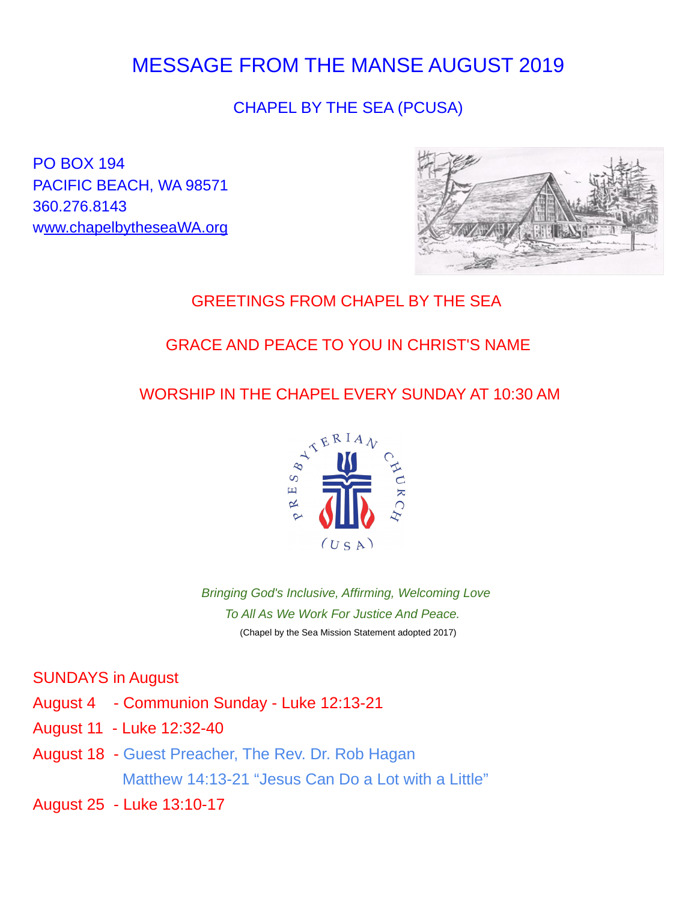# MESSAGE FROM THE MANSE AUGUST 2019

# CHAPEL BY THE SEA (PCUSA)

PO BOX 194 PACIFIC BEACH, WA 98571 360.276.8143 w[ww.chapelbytheseaWA.org](http://www.chapelbytheseaWA.org/)



### GREETINGS FROM CHAPEL BY THE SEA

# GRACE AND PEACE TO YOU IN CHRIST'S NAME

### WORSHIP IN THE CHAPEL EVERY SUNDAY AT 10:30 AM



*Bringing God's Inclusive, Affirming, Welcoming Love To All As We Work For Justice And Peace.* (Chapel by the Sea Mission Statement adopted 2017)

#### SUNDAYS in August

- August 4 Communion Sunday Luke 12:13-21
- August 11 Luke 12:32-40
- August 18 Guest Preacher, The Rev. Dr. Rob Hagan Matthew 14:13-21 "Jesus Can Do a Lot with a Little"
- August 25 Luke 13:10-17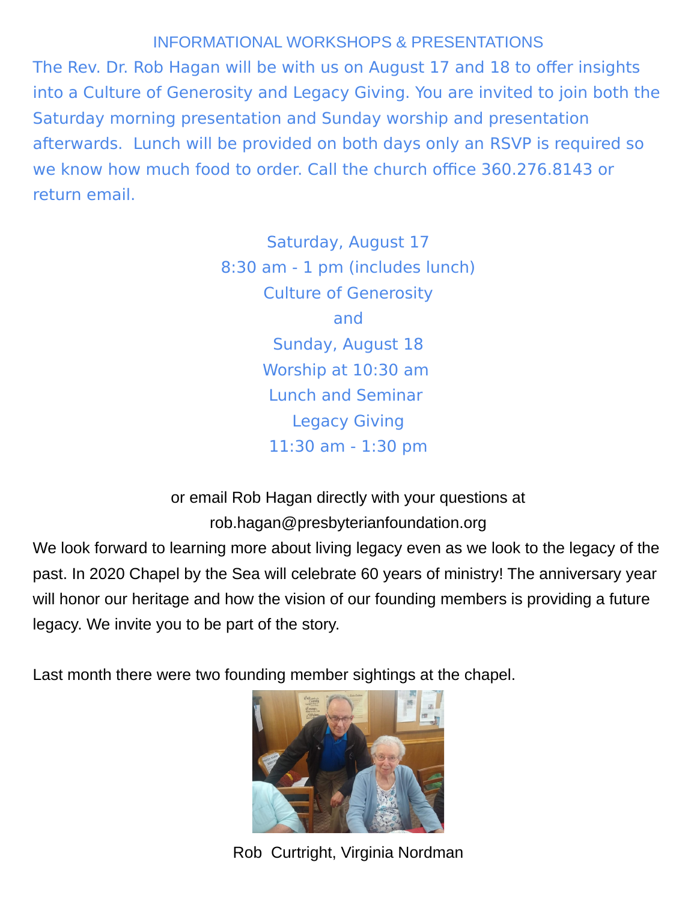### INFORMATIONAL WORKSHOPS & PRESENTATIONS

The Rev. Dr. Rob Hagan will be with us on August 17 and 18 to offer insights into a Culture of Generosity and Legacy Giving. You are invited to join both the Saturday morning presentation and Sunday worship and presentation afterwards. Lunch will be provided on both days only an RSVP is required so we know how much food to order. Call the church office 360.276.8143 or return email.

> Saturday, August 17 8:30 am - 1 pm (includes lunch) Culture of Generosity and Sunday, August 18 Worship at 10:30 am Lunch and Seminar Legacy Giving 11:30 am - 1:30 pm

or email Rob Hagan directly with your questions at rob.hagan@presbyterianfoundation.org

We look forward to learning more about living legacy even as we look to the legacy of the past. In 2020 Chapel by the Sea will celebrate 60 years of ministry! The anniversary year will honor our heritage and how the vision of our founding members is providing a future legacy. We invite you to be part of the story.

Last month there were two founding member sightings at the chapel.



Rob Curtright, Virginia Nordman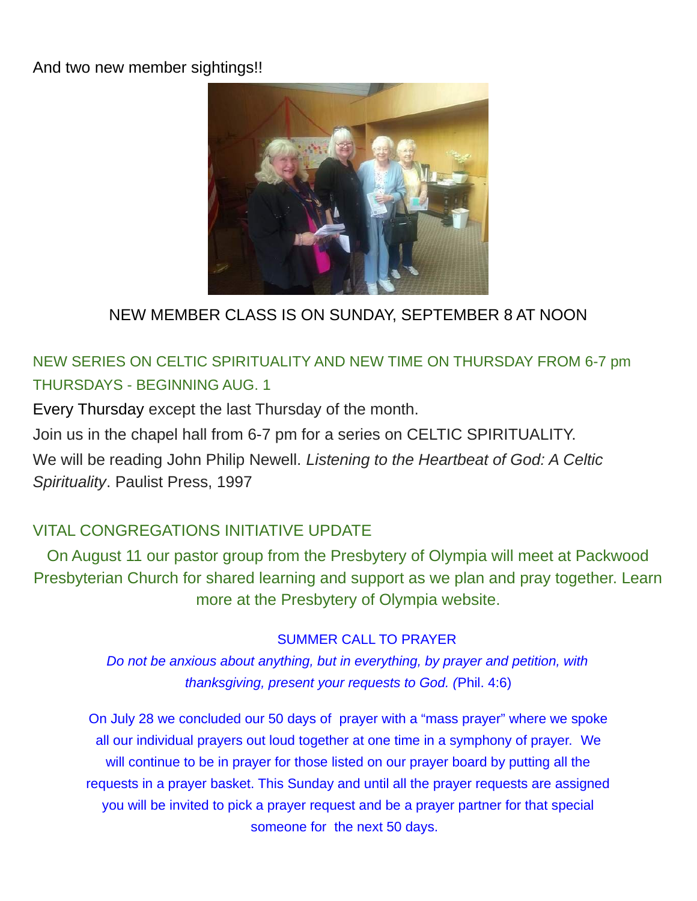#### And two new member sightings!!



# NEW MEMBER CLASS IS ON SUNDAY, SEPTEMBER 8 AT NOON

# NEW SERIES ON CELTIC SPIRITUALITY AND NEW TIME ON THURSDAY FROM 6-7 pm THURSDAYS - BEGINNING AUG. 1

Every Thursday except the last Thursday of the month.

Join us in the chapel hall from 6-7 pm for a series on CELTIC SPIRITUALITY.

We will be reading John Philip Newell. *Listening to the Heartbeat of God: A Celtic Spirituality*. Paulist Press, 1997

# VITAL CONGREGATIONS INITIATIVE UPDATE

On August 11 our pastor group from the Presbytery of Olympia will meet at Packwood Presbyterian Church for shared learning and support as we plan and pray together. Learn more at the Presbytery of Olympia website.

#### SUMMER CALL TO PRAYER

*Do not be anxious about anything, but in everything, by prayer and petition, with thanksgiving, present your requests to God. (*Phil. 4:6)

On July 28 we concluded our 50 days of prayer with a "mass prayer" where we spoke all our individual prayers out loud together at one time in a symphony of prayer. We will continue to be in prayer for those listed on our prayer board by putting all the requests in a prayer basket. This Sunday and until all the prayer requests are assigned you will be invited to pick a prayer request and be a prayer partner for that special someone for the next 50 days.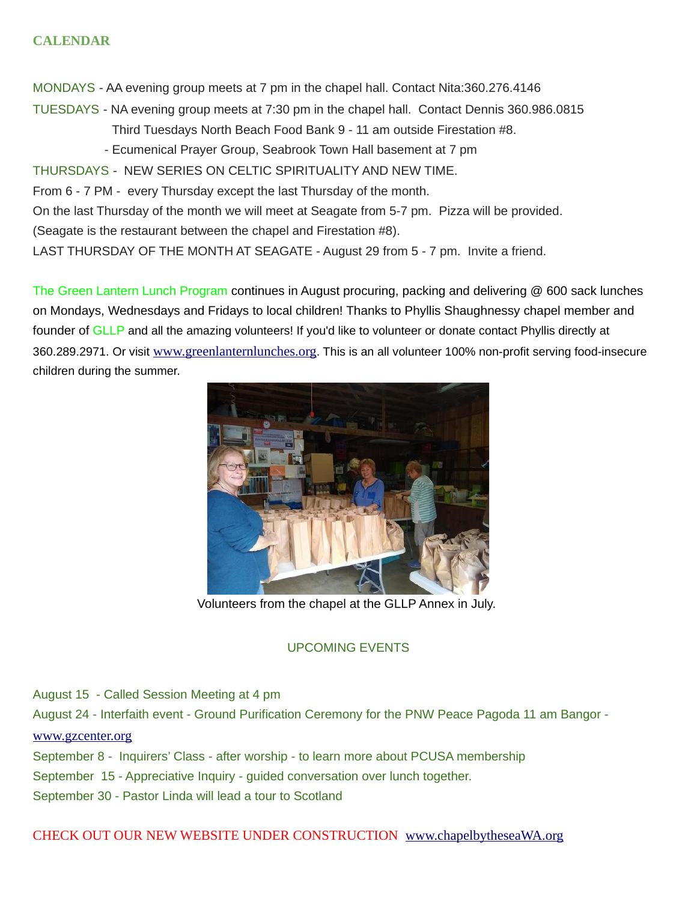#### **CALENDAR**

MONDAYS - AA evening group meets at 7 pm in the chapel hall. Contact Nita:360.276.4146

- TUESDAYS NA evening group meets at 7:30 pm in the chapel hall. Contact Dennis 360.986.0815 Third Tuesdays North Beach Food Bank 9 - 11 am outside Firestation #8.
	- Ecumenical Prayer Group, Seabrook Town Hall basement at 7 pm
- THURSDAYS NEW SERIES ON CELTIC SPIRITUALITY AND NEW TIME.
- From 6 7 PM every Thursday except the last Thursday of the month.
- On the last Thursday of the month we will meet at Seagate from 5-7 pm. Pizza will be provided.
- (Seagate is the restaurant between the chapel and Firestation #8).
- LAST THURSDAY OF THE MONTH AT SEAGATE August 29 from 5 7 pm. Invite a friend.

The Green Lantern Lunch Program continues in August procuring, packing and delivering @ 600 sack lunches on Mondays, Wednesdays and Fridays to local children! Thanks to Phyllis Shaughnessy chapel member and founder of GLLP and all the amazing volunteers! If you'd like to volunteer or donate contact Phyllis directly at 360.289.2971. Or visit [www.greenlanternlunches.org](http://www.greenlanternlunches.org/). This is an all volunteer 100% non-profit serving food-insecure children during the summer.



Volunteers from the chapel at the GLLP Annex in July.

#### UPCOMING EVENTS

August 15 - Called Session Meeting at 4 pm

August 24 - Interfaith event - Ground Purification Ceremony for the PNW Peace Pagoda 11 am Bangor -

#### [www.gzcenter.org](http://www.gzcenter.org/)

September 8 - Inquirers' Class - after worship - to learn more about PCUSA membership

September 15 - Appreciative Inquiry - guided conversation over lunch together.

September 30 - Pastor Linda will lead a tour to Scotland

#### CHECK OUT OUR NEW WEBSITE UNDER CONSTRUCTION [www.chapelbytheseaWA.org](http://www.chapelbytheseaWA.org/)